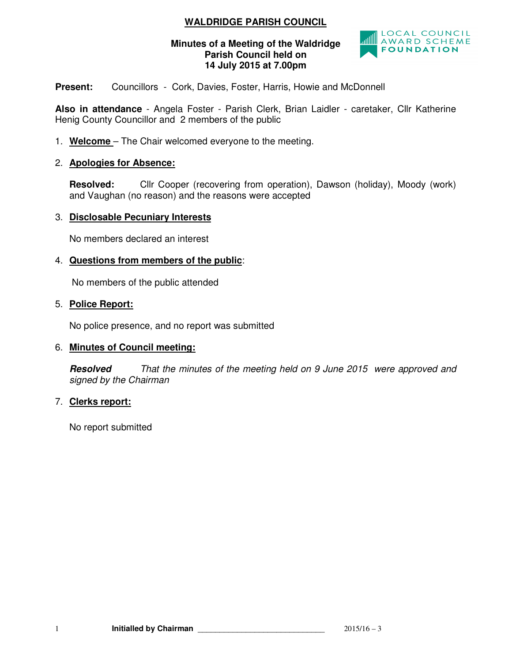# **WALDRIDGE PARISH COUNCIL**

## **Minutes of a Meeting of the Waldridge Parish Council held on 14 July 2015 at 7.00pm**



**Present:** Councillors - Cork, Davies, Foster, Harris, Howie and McDonnell

**Also in attendance** - Angela Foster - Parish Clerk, Brian Laidler - caretaker, Cllr Katherine Henig County Councillor and 2 members of the public

1. **Welcome** – The Chair welcomed everyone to the meeting.

# 2. **Apologies for Absence:**

**Resolved:** Cllr Cooper (recovering from operation), Dawson (holiday), Moody (work) and Vaughan (no reason) and the reasons were accepted

## 3. **Disclosable Pecuniary Interests**

No members declared an interest

# 4. **Questions from members of the public**:

No members of the public attended

## 5. **Police Report:**

No police presence, and no report was submitted

## 6. **Minutes of Council meeting:**

**Resolved** That the minutes of the meeting held on 9 June 2015 were approved and signed by the Chairman

# 7. **Clerks report:**

No report submitted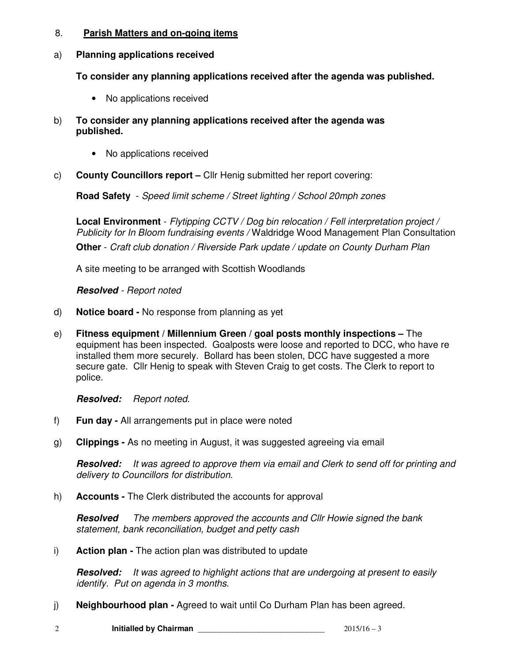## 8. **Parish Matters and on-going items**

# a) **Planning applications received**

**To consider any planning applications received after the agenda was published.** 

- No applications received
- b) **To consider any planning applications received after the agenda was published.** 
	- No applications received
- c) **County Councillors report** Cllr Henig submitted her report covering:

**Road Safety** - Speed limit scheme / Street lighting / School 20mph zones

**Local Environment** - Flytipping CCTV / Dog bin relocation / Fell interpretation project / Publicity for In Bloom fundraising events / Waldridge Wood Management Plan Consultation

**Other** - Craft club donation / Riverside Park update / update on County Durham Plan

A site meeting to be arranged with Scottish Woodlands

*Resolved* - Report noted

- d) **Notice board** No response from planning as yet
- e) **Fitness equipment / Millennium Green / goal posts monthly inspections** The equipment has been inspected. Goalposts were loose and reported to DCC, who have re installed them more securely. Bollard has been stolen, DCC have suggested a more secure gate. Cllr Henig to speak with Steven Craig to get costs. The Clerk to report to police.

**Resolved:** Report noted.

- f) **Fun day** All arrangements put in place were noted
- g) **Clippings** As no meeting in August, it was suggested agreeing via email

**Resolved:** It was agreed to approve them via email and Clerk to send off for printing and delivery to Councillors for distribution.

h) **Accounts -** The Clerk distributed the accounts for approval

*Resolved* The members approved the accounts and Cllr Howie signed the bank statement, bank reconciliation, budget and petty cash

i) **Action plan -** The action plan was distributed to update

**Resolved:** It was agreed to highlight actions that are undergoing at present to easily identify. Put on agenda in 3 months.

- j) **Neighbourhood plan** Agreed to wait until Co Durham Plan has been agreed.
- 2 **Initialled by Chairman 1996 1997 1998 1997 1998 1997 1998 1998 1998 1998 1999 1999 1999 1999 1999 1999 1999 1999 1999 1999 1999 1999 1999 1999 1999 1999 1999 1999 1999**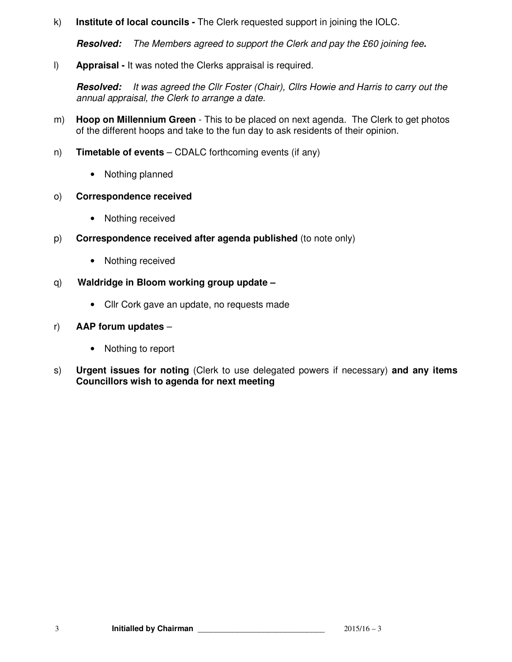k) **Institute of local councils -** The Clerk requested support in joining the IOLC.

*Resolved:* The Members agreed to support the Clerk and pay the £60 joining fee*.* 

l) **Appraisal -** It was noted the Clerks appraisal is required.

*Resolved:* It was agreed the Cllr Foster (Chair), Cllrs Howie and Harris to carry out the annual appraisal, the Clerk to arrange a date.

- m) **Hoop on Millennium Green**  This to be placed on next agenda. The Clerk to get photos of the different hoops and take to the fun day to ask residents of their opinion.
- n) **Timetable of events** CDALC forthcoming events (if any)
	- Nothing planned

# o) **Correspondence received**

- Nothing received
- p) **Correspondence received after agenda published** (to note only)
	- Nothing received
- q) **Waldridge in Bloom working group update** 
	- Cllr Cork gave an update, no requests made

# r) **AAP forum updates** –

- Nothing to report
- s) **Urgent issues for noting** (Clerk to use delegated powers if necessary) **and any items Councillors wish to agenda for next meeting**